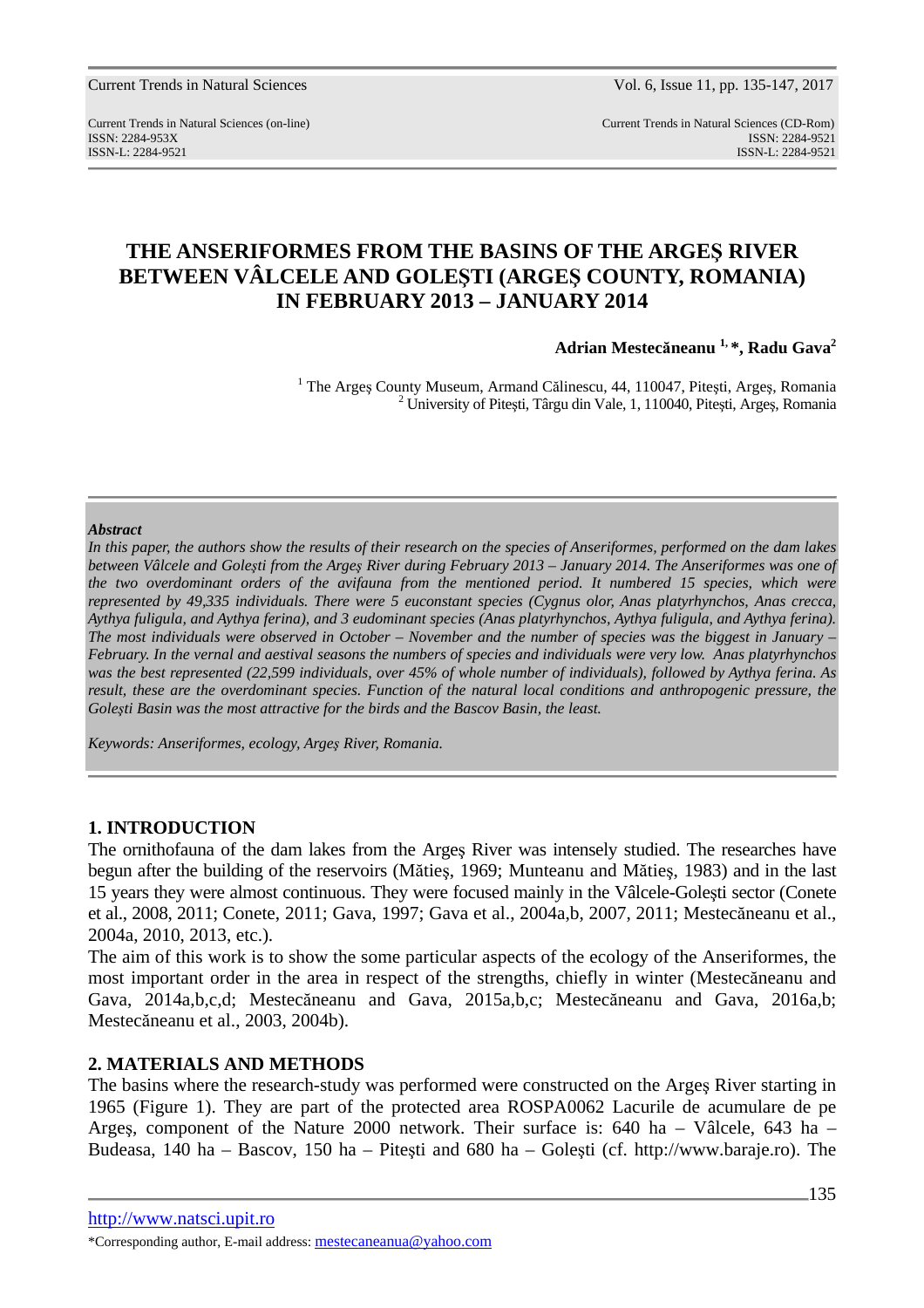Current Trends in Natural Sciences (on-line) Current Trends in Natural Sciences (CD-Rom) ISSN: 2284-953XISSN: 2284-9521 ISSN-L: 2284-9521 ISSN-L: 2284-9521

# **THE ANSERIFORMES FROM THE BASINS OF THE ARGEŞ RIVER BETWEEN VÂLCELE AND GOLEŞTI (ARGEŞ COUNTY, ROMANIA) IN FEBRUARY 2013 – JANUARY 2014**

**Adrian Mestecăneanu 1, \*, Radu Gava<sup>2</sup>**

<sup>1</sup> The Argeș County Museum, Armand Călinescu, 44, 110047, Pitești, Argeș, Romania <sup>2</sup> University of Pitești, Târgu din Vale, 1, 110040, Pitești, Argeș, Romania

### *Abstract*

*In this paper, the authors show the results of their research on the species of Anseriformes, performed on the dam lakes between Vâlcele and Goleşti from the Argeş River during February 2013 – January 2014. The Anseriformes was one of the two overdominant orders of the avifauna from the mentioned period. It numbered 15 species, which were represented by 49,335 individuals. There were 5 euconstant species (Cygnus olor, Anas platyrhynchos, Anas crecca, Aythya fuligula, and Aythya ferina), and 3 eudominant species (Anas platyrhynchos, Aythya fuligula, and Aythya ferina). The most individuals were observed in October – November and the number of species was the biggest in January – February. In the vernal and aestival seasons the numbers of species and individuals were very low. Anas platyrhynchos was the best represented (22,599 individuals, over 45% of whole number of individuals), followed by Aythya ferina. As result, these are the overdominant species. Function of the natural local conditions and anthropogenic pressure, the Goleşti Basin was the most attractive for the birds and the Bascov Basin, the least.* 

*Keywords: Anseriformes, ecology, Argeş River, Romania.* 

## **1. INTRODUCTION**

The ornithofauna of the dam lakes from the Argeş River was intensely studied. The researches have begun after the building of the reservoirs (Mătieş, 1969; Munteanu and Mătieş, 1983) and in the last 15 years they were almost continuous. They were focused mainly in the Vâlcele-Goleşti sector (Conete et al., 2008, 2011; Conete, 2011; Gava, 1997; Gava et al., 2004a,b, 2007, 2011; Mestecăneanu et al., 2004a, 2010, 2013, etc.).

The aim of this work is to show the some particular aspects of the ecology of the Anseriformes, the most important order in the area in respect of the strengths, chiefly in winter (Mestecăneanu and Gava, 2014a,b,c,d; Mestecăneanu and Gava, 2015a,b,c; Mestecăneanu and Gava, 2016a,b; Mestecăneanu et al., 2003, 2004b).

## **2. MATERIALS AND METHODS**

The basins where the research-study was performed were constructed on the Argeş River starting in 1965 (Figure 1). They are part of the protected area ROSPA0062 Lacurile de acumulare de pe Argeş, component of the Nature 2000 network. Their surface is: 640 ha – Vâlcele, 643 ha – Budeasa, 140 ha – Bascov, 150 ha – Piteşti and 680 ha – Goleşti (cf. http://www.baraje.ro). The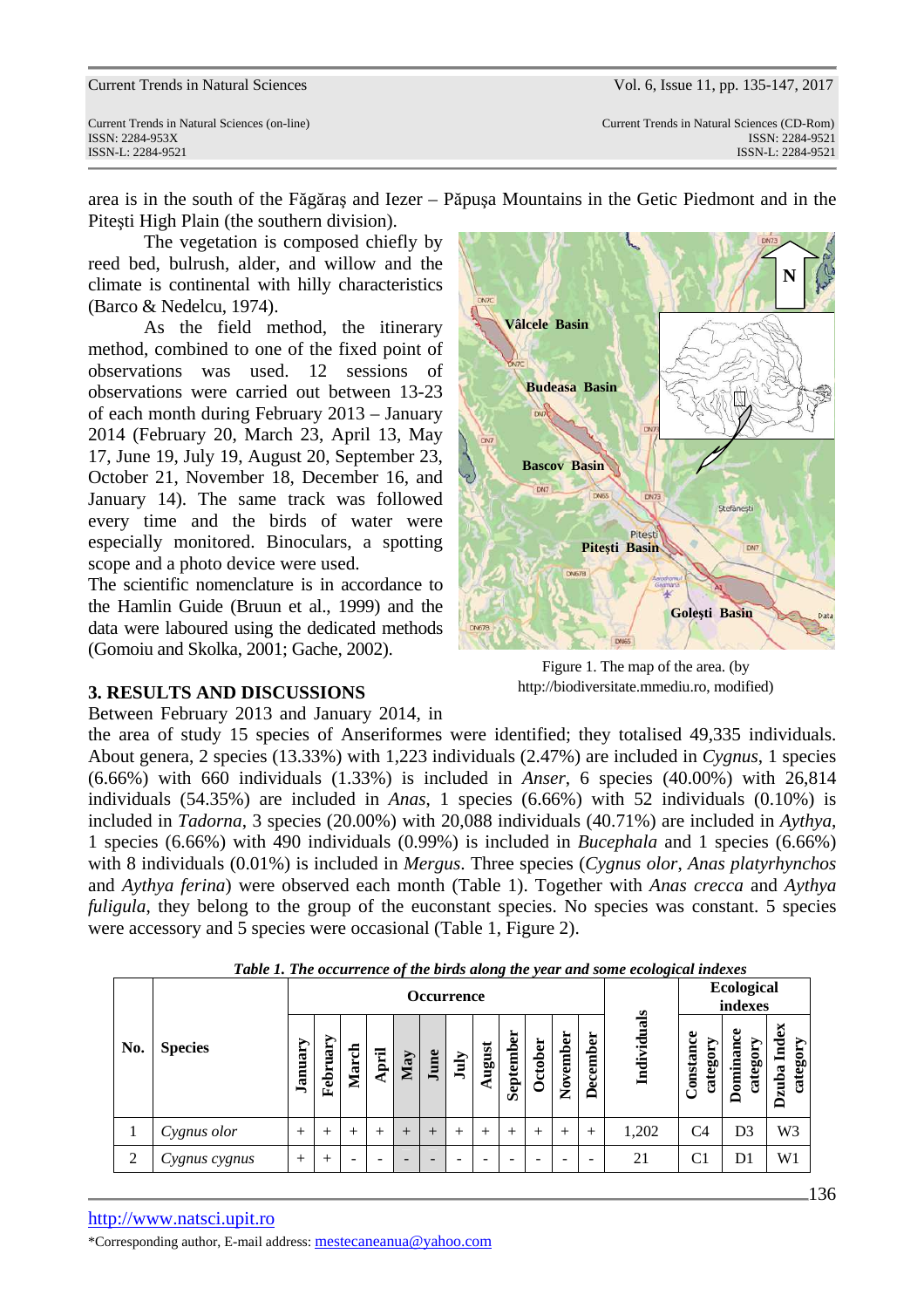Current Trends in Natural Sciences (on-line) Current Trends in Natural Sciences (CD-Rom) ISSN: 2284-953XISSN: 2284-9521 ISSN-L: 2284-9521 ISSN-L: 2284-9521

area is in the south of the Făgăraş and Iezer – Păpuşa Mountains in the Getic Piedmont and in the Piteşti High Plain (the southern division).

The vegetation is composed chiefly by reed bed, bulrush, alder, and willow and the climate is continental with hilly characteristics (Barco & Nedelcu, 1974).

As the field method, the itinerary method, combined to one of the fixed point of observations was used. 12 sessions of observations were carried out between 13-23 of each month during February 2013 – January 2014 (February 20, March 23, April 13, May 17, June 19, July 19, August 20, September 23, October 21, November 18, December 16, and January 14). The same track was followed every time and the birds of water were especially monitored. Binoculars, a spotting scope and a photo device were used.

The scientific nomenclature is in accordance to the Hamlin Guide (Bruun et al., 1999) and the data were laboured using the dedicated methods (Gomoiu and Skolka, 2001; Gache, 2002).

## **3. RESULTS AND DISCUSSIONS**

Between February 2013 and January 2014, in

the area of study 15 species of Anseriformes were identified; they totalised 49,335 individuals. About genera, 2 species (13.33%) with 1,223 individuals (2.47%) are included in *Cygnus*, 1 species (6.66%) with 660 individuals (1.33%) is included in *Anser*, 6 species (40.00%) with 26,814 individuals (54.35%) are included in *Anas*, 1 species (6.66%) with 52 individuals (0.10%) is included in *Tadorna*, 3 species (20.00%) with 20,088 individuals (40.71%) are included in *Aythya*, 1 species (6.66%) with 490 individuals (0.99%) is included in *Bucephala* and 1 species (6.66%) with 8 individuals (0.01%) is included in *Mergus*. Three species (*Cygnus olor*, *Anas platyrhynchos*  and *Aythya ferina*) were observed each month (Table 1). Together with *Anas crecca* and *Aythya fuligula*, they belong to the group of the euconstant species. No species was constant. 5 species were accessory and 5 species were occasional (Table 1, Figure 2).

|                |                |         |          |       |       |        |        | <b>Occurrence</b> |        |           |         |          |          | Tubic 1. The occurrence of the birus along the year and some ecological indexes |                      | <b>Ecological</b><br>indexes |                                  |
|----------------|----------------|---------|----------|-------|-------|--------|--------|-------------------|--------|-----------|---------|----------|----------|---------------------------------------------------------------------------------|----------------------|------------------------------|----------------------------------|
| No.            | <b>Species</b> | January | February | March | April | May    | June   | July              | August | September | October | November | December | Individuals                                                                     | Constance<br>categor | ominance<br>category         | 6X<br>Ĕ<br>category<br>zuba<br>⊟ |
|                | Cygnus olor    | $^{+}$  | $^{+}$   | $^+$  | $^+$  | $^{+}$ | $^{+}$ | $^{+}$            | $^{+}$ | $^{+}$    | $^+$    | $^{+}$   | $^{+}$   | 1,202                                                                           | C <sub>4</sub>       | D3                           | W <sub>3</sub>                   |
| $\overline{2}$ | Cygnus cygnus  | $^{+}$  | $^{+}$   | -     | -     |        | -      |                   |        | -         |         | -        |          | 21                                                                              | C1                   | D1                           | W1                               |

*Table 1. The occurrence of the birds along the year and some ecological indexes* 



Figure 1. The map of the area. (by http://biodiversitate.mmediu.ro, modified)

\*Corresponding author, E-mail address: mestecaneanua@yahoo.com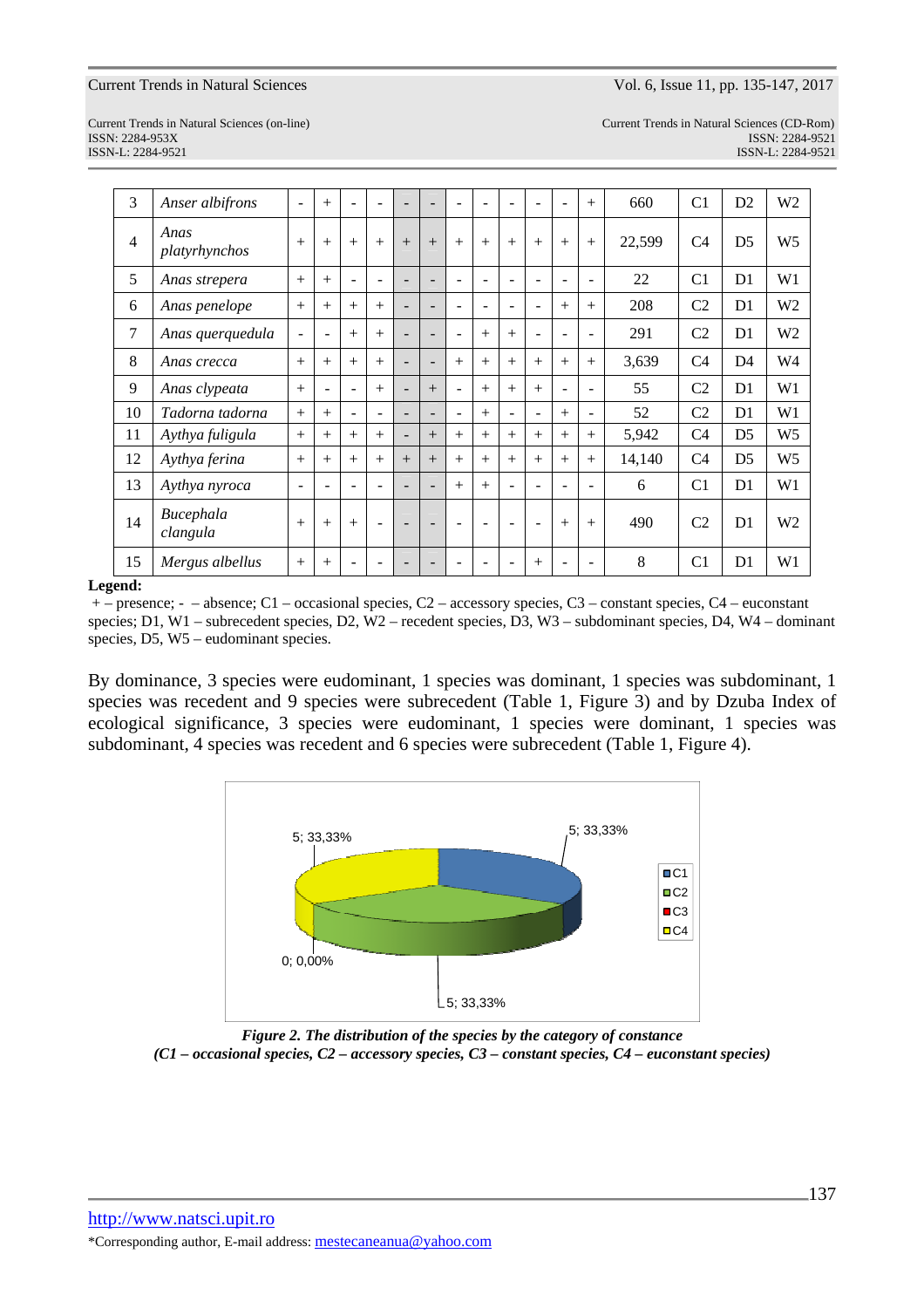ISSN-L: 2284-9521 ISSN-L: 2284-9521

Current Trends in Natural Sciences (on-line) Current Trends in Natural Sciences (CD-Rom) ISSN: 2284-953XISSN: 2284-9521

| 3  | Anser albifrons       | ۳                        | $^{+}$                   |                          | ۰                 |                          |                          |                          |                          |                          | ۰                        | ÷              | $+$                      | 660    | C <sub>1</sub> | D <sub>2</sub> | W <sub>2</sub> |
|----|-----------------------|--------------------------|--------------------------|--------------------------|-------------------|--------------------------|--------------------------|--------------------------|--------------------------|--------------------------|--------------------------|----------------|--------------------------|--------|----------------|----------------|----------------|
| 4  | Anas<br>platyrhynchos | $^{+}$                   | $^{+}$                   | $+$                      | $^{+}$            | $^{+}$                   | $+$                      | $+$                      | $+$                      | $+$                      | $^{+}$                   | $+$            | $+$                      | 22,599 | C <sub>4</sub> | D <sub>5</sub> | W <sub>5</sub> |
| 5  | Anas strepera         | $+$                      | $^{+}$                   | ۰                        | ۰                 | $\overline{\phantom{a}}$ | $\overline{\phantom{a}}$ | $\overline{\phantom{a}}$ | $\overline{\phantom{0}}$ |                          | ۰                        | ۰              | $\overline{\phantom{a}}$ | 22     | C <sub>1</sub> | D1             | W1             |
| 6  | Anas penelope         | $+$                      | $^{+}$                   | $+$                      | $^{+}$            | $\overline{\phantom{a}}$ | $\overline{\phantom{0}}$ | $\blacksquare$           | $\overline{\phantom{0}}$ |                          | ۰                        | $+$            | $^{+}$                   | 208    | C2             | D1             | W <sub>2</sub> |
| 7  | Anas querquedula      | $\overline{\phantom{0}}$ | $\overline{\phantom{0}}$ | $+$                      | $^{+}$            | $\overline{\phantom{a}}$ | $\blacksquare$           | $\blacksquare$           | $+$                      | $^{+}$                   | $\blacksquare$           | $\blacksquare$ | $\blacksquare$           | 291    | C <sub>2</sub> | D1             | W <sub>2</sub> |
| 8  | Anas crecca           | $+$                      | $^{+}$                   | $^{+}$                   | $^{+}$            | $\overline{\phantom{a}}$ | $\overline{\phantom{0}}$ | $+$                      | $^{+}$                   | $^{+}$                   | $^{+}$                   | $+$            | $+$                      | 3,639  | C <sub>4</sub> | D <sub>4</sub> | W <sub>4</sub> |
| 9  | Anas clypeata         | $+$                      | $\overline{\phantom{0}}$ | $\overline{\phantom{a}}$ | $^{+}$            | $\overline{\phantom{a}}$ | $+$                      | $\overline{\phantom{a}}$ | $+$                      | $+$                      | $^{+}$                   | $\blacksquare$ | $\overline{\phantom{a}}$ | 55     | C2             | D1             | W1             |
| 10 | Tadorna tadorna       | $+$                      | $^{+}$                   | $\overline{\phantom{m}}$ | $\qquad \qquad -$ | $\overline{\phantom{a}}$ | $\overline{\phantom{a}}$ | $\overline{\phantom{a}}$ | $^{+}$                   | $\overline{\phantom{0}}$ | $\overline{\phantom{a}}$ | $+$            | ٠                        | 52     | C <sub>2</sub> | D1             | W <sub>1</sub> |
| 11 | Aythya fuligula       | $+$                      | $+$                      | $+$                      | $+$               | $\overline{\phantom{a}}$ | $+$                      | $+$                      | $+$                      | $^{+}$                   | $^{+}$                   | $+$            | $+$                      | 5,942  | C <sub>4</sub> | D5             | W <sub>5</sub> |
| 12 | Aythya ferina         | $+$                      | $^{+}$                   | $+$                      | $^{+}$            | $+$                      | $+$                      | $^{+}$                   | $+$                      | $^{+}$                   | $+$                      | $+$            | $^{+}$                   | 14,140 | C <sub>4</sub> | D <sub>5</sub> | W <sub>5</sub> |
| 13 | Aythya nyroca         | $\overline{\phantom{0}}$ | $\overline{\phantom{0}}$ | $\overline{\phantom{a}}$ | ۰                 | $\overline{\phantom{a}}$ | $\blacksquare$           | $+$                      | $+$                      |                          | ۰                        | $\blacksquare$ | $\blacksquare$           | 6      | C <sub>1</sub> | D <sub>1</sub> | W <sub>1</sub> |
| 14 | Bucephala<br>clangula | $+$                      | $^{+}$                   | $+$                      | ۰                 | $\overline{\phantom{0}}$ | $\overline{\phantom{0}}$ | $\overline{\phantom{a}}$ | ۰                        | $\overline{\phantom{a}}$ | $\overline{\phantom{a}}$ | $+$            | $^{+}$                   | 490    | C <sub>2</sub> | D1             | W <sub>2</sub> |
| 15 | Mergus albellus       | $+$                      | $^{+}$                   |                          |                   |                          |                          |                          |                          |                          | $^{+}$                   |                |                          | 8      | C <sub>1</sub> | D1             | W <sub>1</sub> |

### **Legend:**

 + – presence; - – absence; C1 – occasional species, C2 – accessory species, C3 – constant species, C4 – euconstant species; D1, W1 – subrecedent species, D2, W2 – recedent species, D3, W3 – subdominant species, D4, W4 – dominant species, D5, W5 – eudominant species.

By dominance, 3 species were eudominant, 1 species was dominant, 1 species was subdominant, 1 species was recedent and 9 species were subrecedent (Table 1, Figure 3) and by Dzuba Index of ecological significance, 3 species were eudominant, 1 species were dominant, 1 species was subdominant, 4 species was recedent and 6 species were subrecedent (Table 1, Figure 4).



*Figure 2. The distribution of the species by the category of constance (C1 – occasional species, C2 – accessory species, C3 – constant species, C4 – euconstant species)*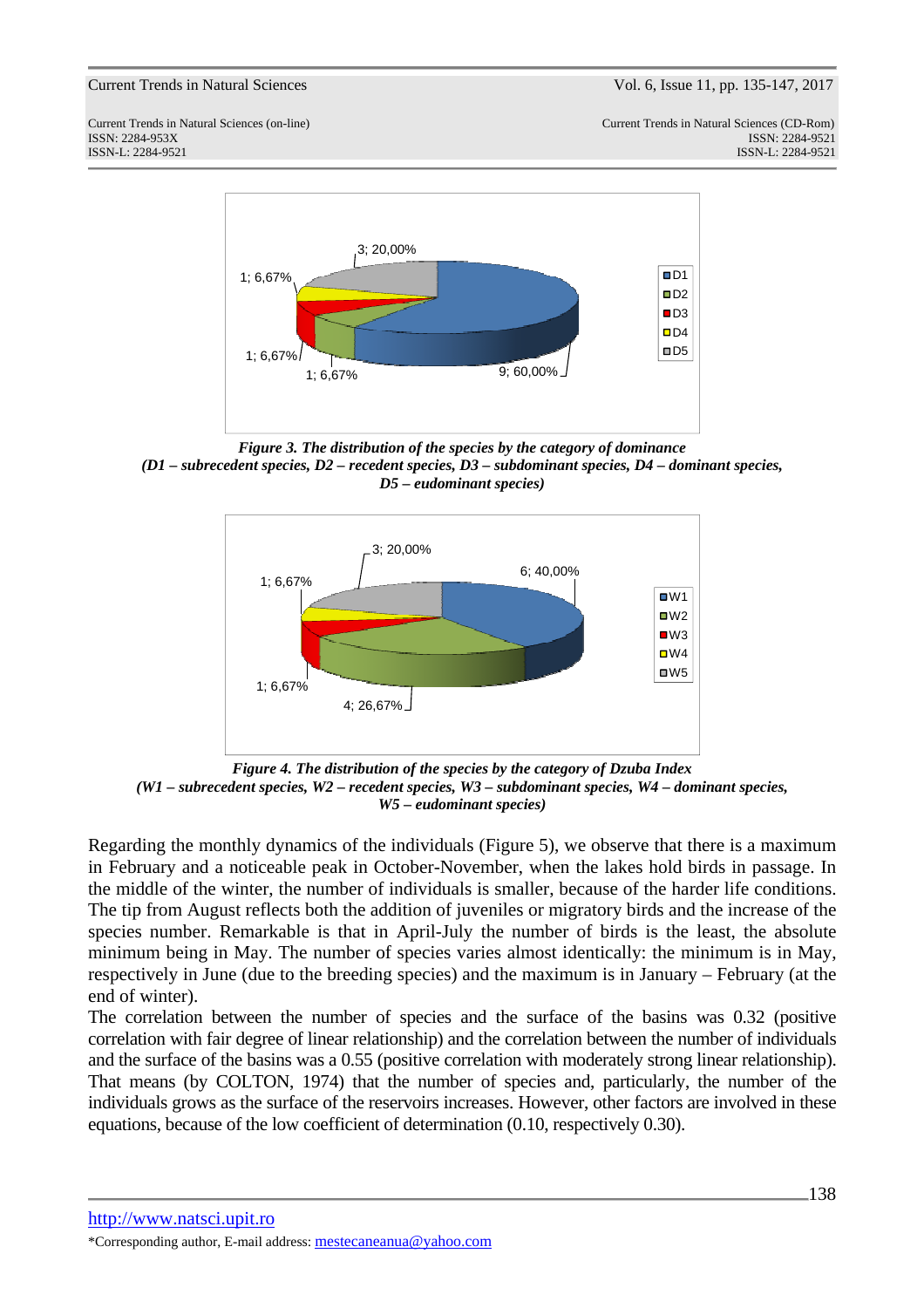Current Trends in Natural Sciences (on-line) Current Trends in Natural Sciences (CD-Rom) ISSN: 2284-953XISSN: 2284-9521 ISSN-L: 2284-9521 ISSN-L: 2284-9521



*Figure 3. The distribution of the species by the category of dominance (D1 – subrecedent species, D2 – recedent species, D3 – subdominant species, D4 – dominant species, D5 – eudominant species)* 



*Figure 4. The distribution of the species by the category of Dzuba Index (W1 – subrecedent species, W2 – recedent species, W3 – subdominant species, W4 – dominant species, W5 – eudominant species)* 

Regarding the monthly dynamics of the individuals (Figure 5), we observe that there is a maximum in February and a noticeable peak in October-November, when the lakes hold birds in passage. In the middle of the winter, the number of individuals is smaller, because of the harder life conditions. The tip from August reflects both the addition of juveniles or migratory birds and the increase of the species number. Remarkable is that in April-July the number of birds is the least, the absolute minimum being in May. The number of species varies almost identically: the minimum is in May, respectively in June (due to the breeding species) and the maximum is in January – February (at the end of winter).

The correlation between the number of species and the surface of the basins was 0.32 (positive correlation with fair degree of linear relationship) and the correlation between the number of individuals and the surface of the basins was a 0.55 (positive correlation with moderately strong linear relationship). That means (by COLTON, 1974) that the number of species and, particularly, the number of the individuals grows as the surface of the reservoirs increases. However, other factors are involved in these equations, because of the low coefficient of determination (0.10, respectively 0.30).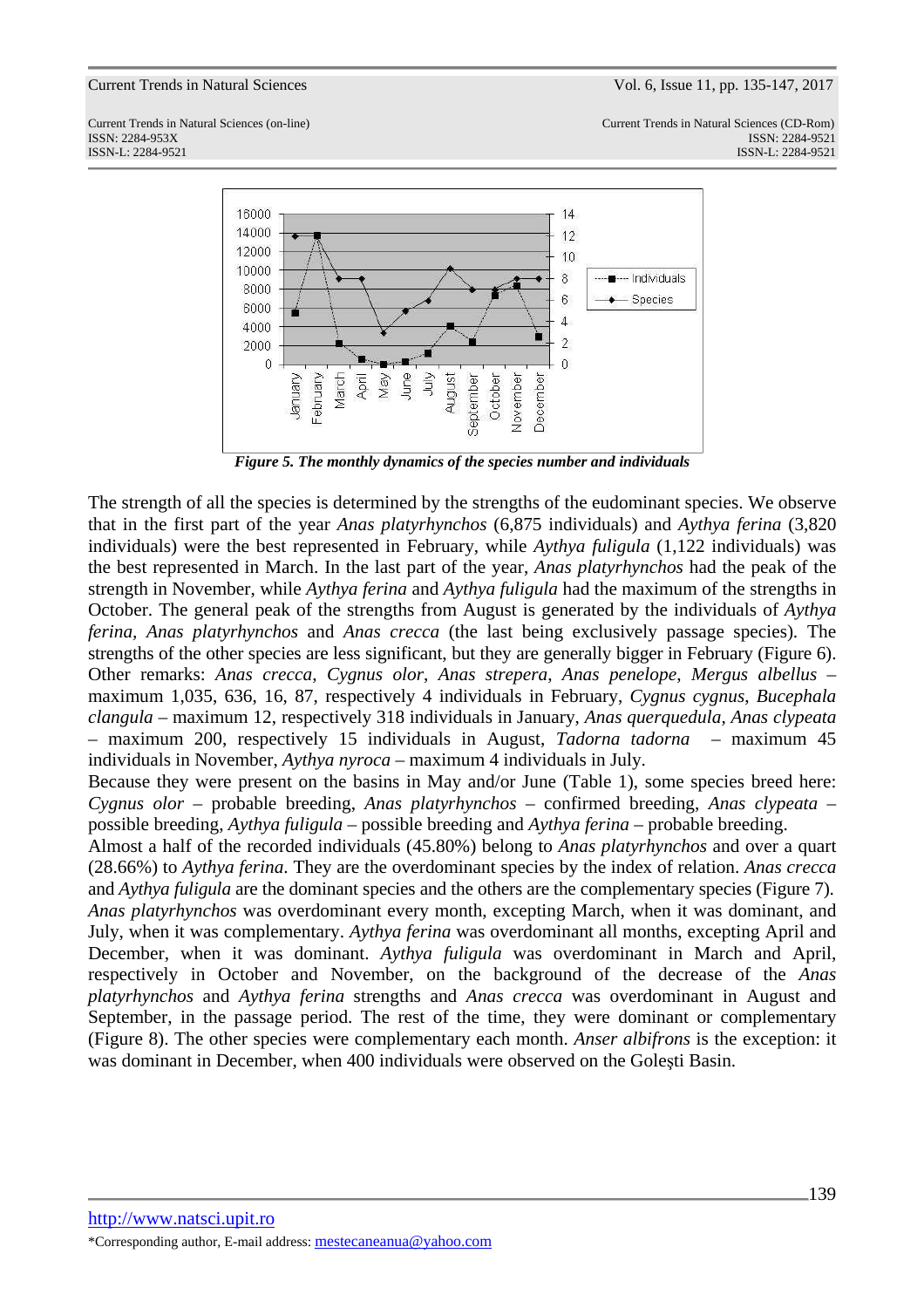



*Figure 5. The monthly dynamics of the species number and individuals* 

The strength of all the species is determined by the strengths of the eudominant species. We observe that in the first part of the year *Anas platyrhynchos* (6,875 individuals) and *Aythya ferina* (3,820 individuals) were the best represented in February, while *Aythya fuligula* (1,122 individuals) was the best represented in March. In the last part of the year, *Anas platyrhynchos* had the peak of the strength in November, while *Aythya ferina* and *Aythya fuligula* had the maximum of the strengths in October. The general peak of the strengths from August is generated by the individuals of *Aythya ferina, Anas platyrhynchos* and *Anas crecca* (the last being exclusively passage species)*.* The strengths of the other species are less significant, but they are generally bigger in February (Figure 6). Other remarks: *Anas crecca*, *Cygnus olor*, *Anas strepera*, *Anas penelope*, *Mergus albellus* – maximum 1,035, 636, 16, 87, respectively 4 individuals in February, *Cygnus cygnus*, *Bucephala clangula* – maximum 12, respectively 318 individuals in January, *Anas querquedula, Anas clypeata* – maximum 200, respectively 15 individuals in August, *Tadorna tadorna* – maximum 45 individuals in November, *Aythya nyroca* – maximum 4 individuals in July.

Because they were present on the basins in May and/or June (Table 1), some species breed here: *Cygnus olor* – probable breeding, *Anas platyrhynchos* – confirmed breeding, *Anas clypeata* – possible breeding, *Aythya fuligula* – possible breeding and *Aythya ferina* – probable breeding.

Almost a half of the recorded individuals (45.80%) belong to *Anas platyrhynchos* and over a quart (28.66%) to *Aythya ferina*. They are the overdominant species by the index of relation. *Anas crecca* and *Aythya fuligula* are the dominant species and the others are the complementary species (Figure 7). *Anas platyrhynchos* was overdominant every month, excepting March, when it was dominant, and July, when it was complementary. *Aythya ferina* was overdominant all months, excepting April and December, when it was dominant. *Aythya fuligula* was overdominant in March and April, respectively in October and November, on the background of the decrease of the *Anas platyrhynchos* and *Aythya ferina* strengths and *Anas crecca* was overdominant in August and September, in the passage period. The rest of the time, they were dominant or complementary (Figure 8). The other species were complementary each month. *Anser albifrons* is the exception: it was dominant in December, when 400 individuals were observed on the Goleşti Basin.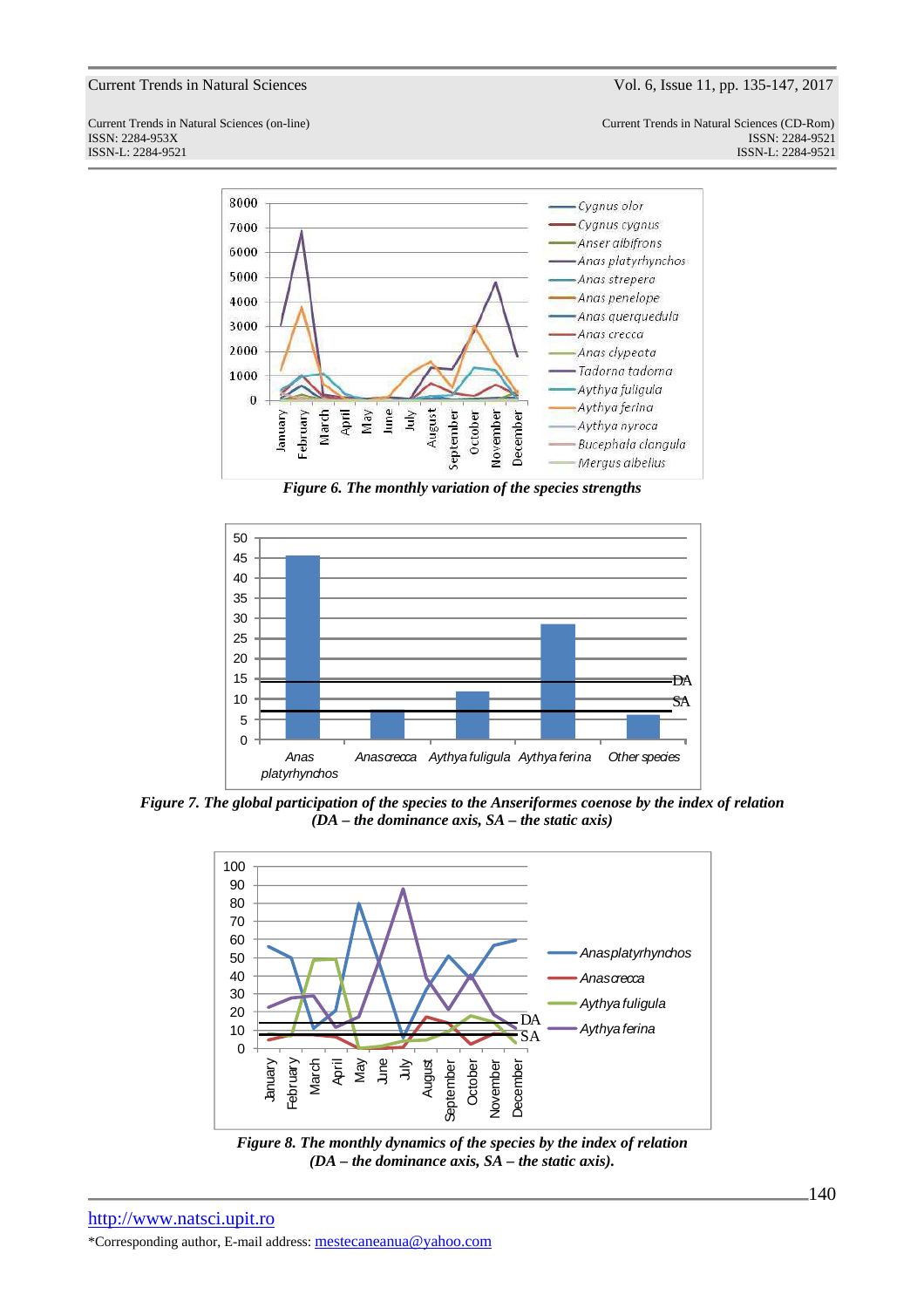Current Trends in Natural Sciences (on-line) Current Trends in Natural Sciences (CD-Rom) ISSN: 2284-953XISSN: 2284-9521 ISSN-L: 2284-9521 ISSN-L: 2284-9521



*Figure 6. The monthly variation of the species strengths* 



*Figure 7. The global participation of the species to the Anseriformes coenose by the index of relation (DA – the dominance axis, SA – the static axis)* 



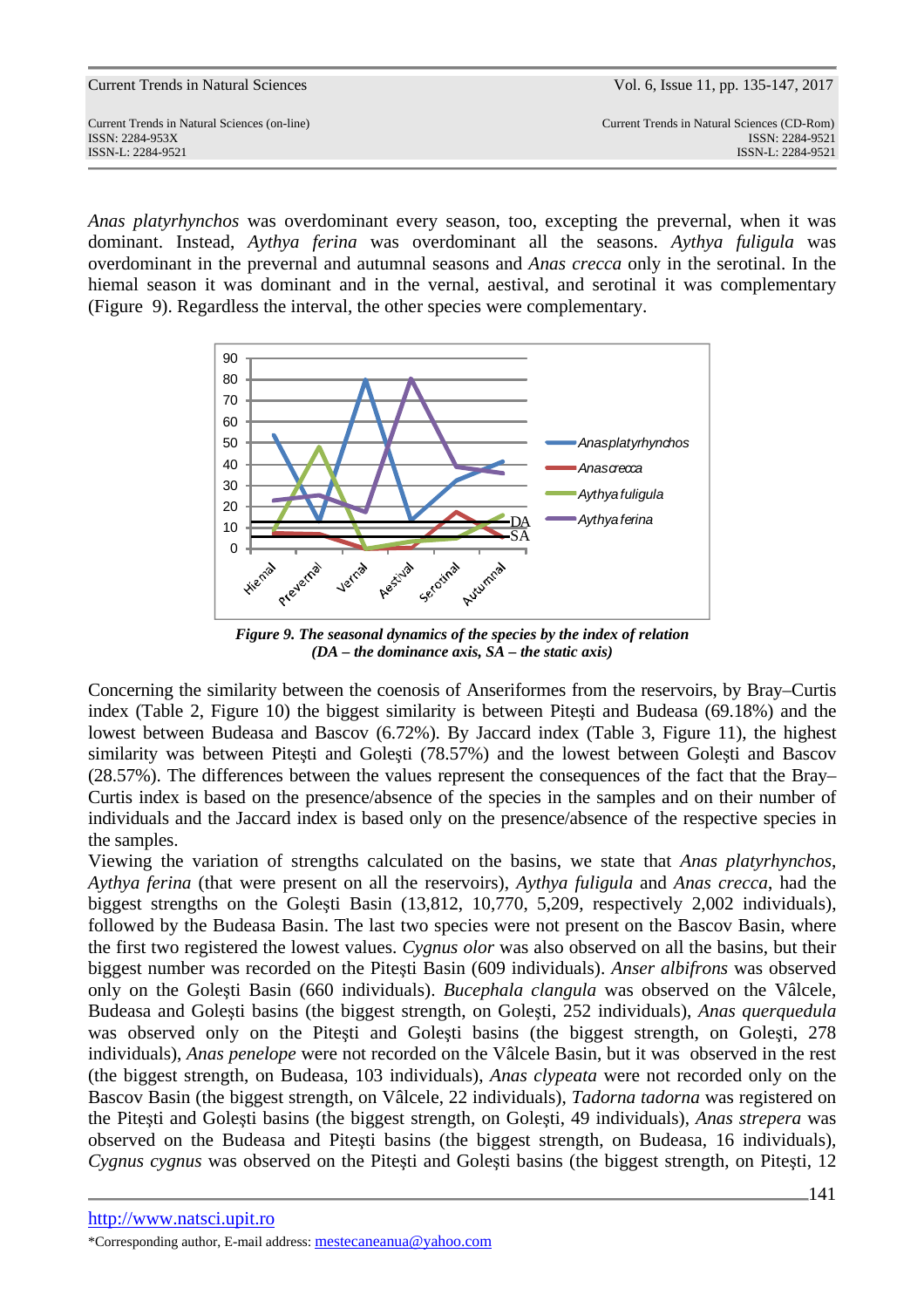Current Trends in Natural Sciences (on-line) Current Trends in Natural Sciences (CD-Rom) ISSN: 2284-953XISSN: 2284-9521 ISSN-L: 2284-9521 ISSN-L: 2284-9521

*Anas platyrhynchos* was overdominant every season, too, excepting the prevernal, when it was dominant. Instead, *Aythya ferina* was overdominant all the seasons. *Aythya fuligula* was overdominant in the prevernal and autumnal seasons and *Anas crecca* only in the serotinal. In the hiemal season it was dominant and in the vernal, aestival, and serotinal it was complementary (Figure 9). Regardless the interval, the other species were complementary.



*Figure 9. The seasonal dynamics of the species by the index of relation (DA – the dominance axis, SA – the static axis)* 

Concerning the similarity between the coenosis of Anseriformes from the reservoirs, by Bray–Curtis index (Table 2, Figure 10) the biggest similarity is between Piteşti and Budeasa (69.18%) and the lowest between Budeasa and Bascov (6.72%). By Jaccard index (Table 3, Figure 11), the highest similarity was between Piteşti and Goleşti (78.57%) and the lowest between Goleşti and Bascov (28.57%). The differences between the values represent the consequences of the fact that the Bray– Curtis index is based on the presence/absence of the species in the samples and on their number of individuals and the Jaccard index is based only on the presence/absence of the respective species in the samples.

Viewing the variation of strengths calculated on the basins, we state that *Anas platyrhynchos*, *Aythya ferina* (that were present on all the reservoirs), *Aythya fuligula* and *Anas crecca*, had the biggest strengths on the Goleşti Basin (13,812, 10,770, 5,209, respectively 2,002 individuals), followed by the Budeasa Basin. The last two species were not present on the Bascov Basin, where the first two registered the lowest values. *Cygnus olor* was also observed on all the basins, but their biggest number was recorded on the Piteşti Basin (609 individuals). *Anser albifrons* was observed only on the Goleşti Basin (660 individuals). *Bucephala clangula* was observed on the Vâlcele, Budeasa and Goleşti basins (the biggest strength, on Goleşti, 252 individuals), *Anas querquedula* was observed only on the Piteşti and Goleşti basins (the biggest strength, on Goleşti, 278 individuals), *Anas penelope* were not recorded on the Vâlcele Basin, but it was observed in the rest (the biggest strength, on Budeasa, 103 individuals), *Anas clypeata* were not recorded only on the Bascov Basin (the biggest strength, on Vâlcele, 22 individuals), *Tadorna tadorna* was registered on the Piteşti and Goleşti basins (the biggest strength, on Goleşti, 49 individuals), *Anas strepera* was observed on the Budeasa and Piteşti basins (the biggest strength, on Budeasa, 16 individuals), *Cygnus cygnus* was observed on the Piteşti and Goleşti basins (the biggest strength, on Piteşti, 12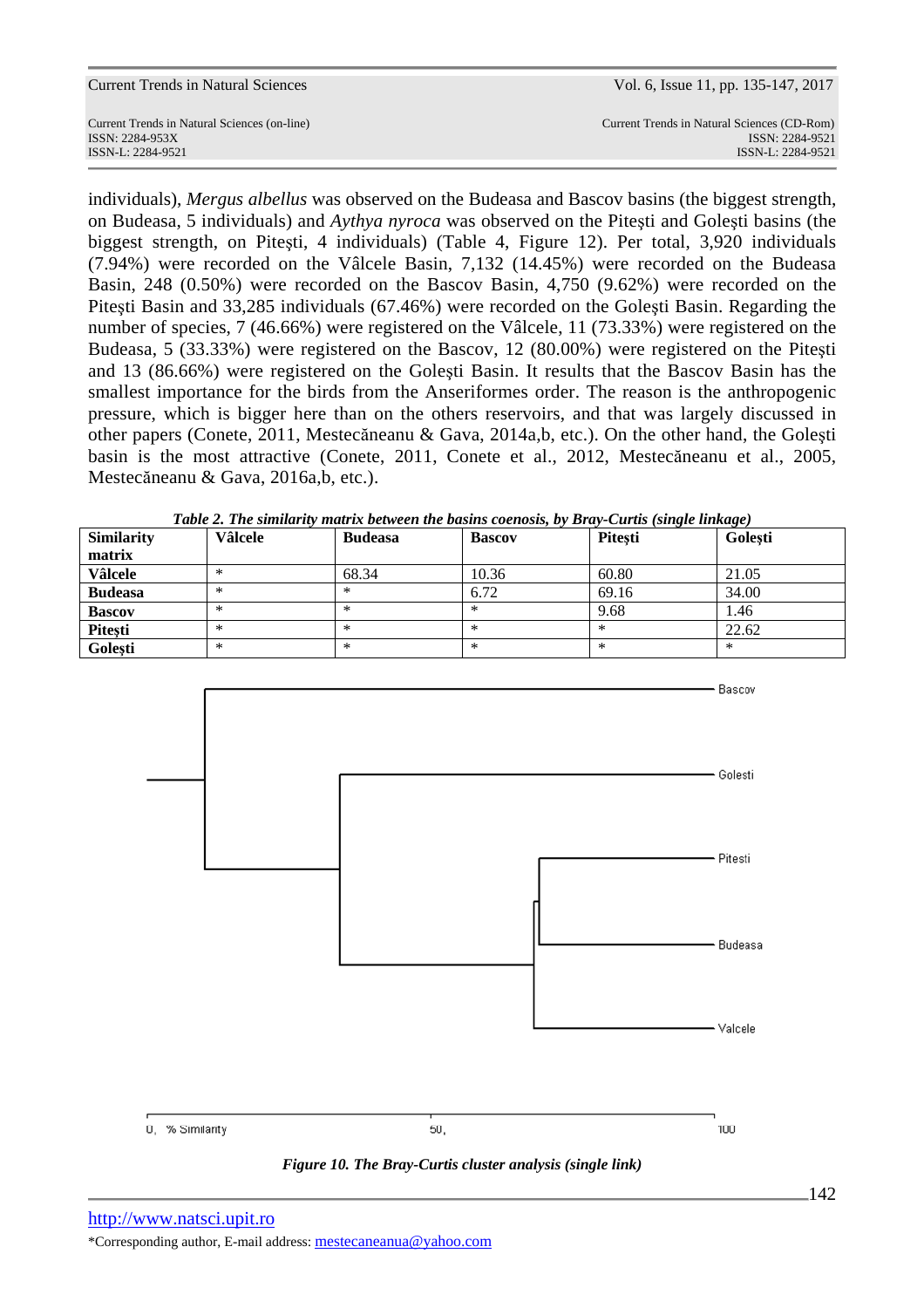| Current Trends in Natural Sciences           | Vol. 6, Issue 11, pp. 135-147, 2017         |
|----------------------------------------------|---------------------------------------------|
| Current Trends in Natural Sciences (on-line) | Current Trends in Natural Sciences (CD-Rom) |
| ISSN: 2284-953X                              | ISSN: 2284-9521                             |
| ISSN-L: 2284-9521                            | ISSN-L: 2284-9521                           |

individuals), *Mergus albellus* was observed on the Budeasa and Bascov basins (the biggest strength, on Budeasa, 5 individuals) and *Aythya nyroca* was observed on the Piteşti and Goleşti basins (the biggest strength, on Piteşti, 4 individuals) (Table 4, Figure 12). Per total, 3,920 individuals (7.94%) were recorded on the Vâlcele Basin, 7,132 (14.45%) were recorded on the Budeasa Basin, 248 (0.50%) were recorded on the Bascov Basin, 4,750 (9.62%) were recorded on the Piteşti Basin and 33,285 individuals (67.46%) were recorded on the Goleşti Basin. Regarding the number of species, 7 (46.66%) were registered on the Vâlcele, 11 (73.33%) were registered on the Budeasa, 5 (33.33%) were registered on the Bascov, 12 (80.00%) were registered on the Piteşti and 13 (86.66%) were registered on the Goleşti Basin. It results that the Bascov Basin has the smallest importance for the birds from the Anseriformes order. The reason is the anthropogenic pressure, which is bigger here than on the others reservoirs, and that was largely discussed in other papers (Conete, 2011, Mestecăneanu & Gava, 2014a,b, etc.). On the other hand, the Goleşti basin is the most attractive (Conete, 2011, Conete et al., 2012, Mestecăneanu et al., 2005, Mestecăneanu & Gava, 2016a,b, etc.).

| <b>Similarity</b> | Tubic 2. The simularity main in between the basins coenosis, by Drug Carlis (single timing c)<br>Vâlcele | <b>Budeasa</b> | <b>Bascov</b> | <b>Pitesti</b> | Golesti   |
|-------------------|----------------------------------------------------------------------------------------------------------|----------------|---------------|----------------|-----------|
| matrix            |                                                                                                          |                |               |                |           |
| <b>Vâlcele</b>    |                                                                                                          | 68.34          | 10.36         | 60.80          | 21.05     |
| <b>Budeasa</b>    | $\ast$                                                                                                   | ∗              | 6.72          | 69.16          | 34.00     |
| <b>Bascov</b>     | $\ast$                                                                                                   | ∗              | ∗             | 9.68           | 1.46      |
| Pitești           | $\ast$                                                                                                   | ∗              | ∗             |                | 22.62     |
| Golesti           | $\ast$                                                                                                   | ∗              | ∗             |                | $^{\ast}$ |

*Table 2. The similarity matrix between the basins coenosis, by Bray-Curtis (single linkage)* 



*Figure 10. The Bray-Curtis cluster analysis (single link)* 

pp. 135-147, 2017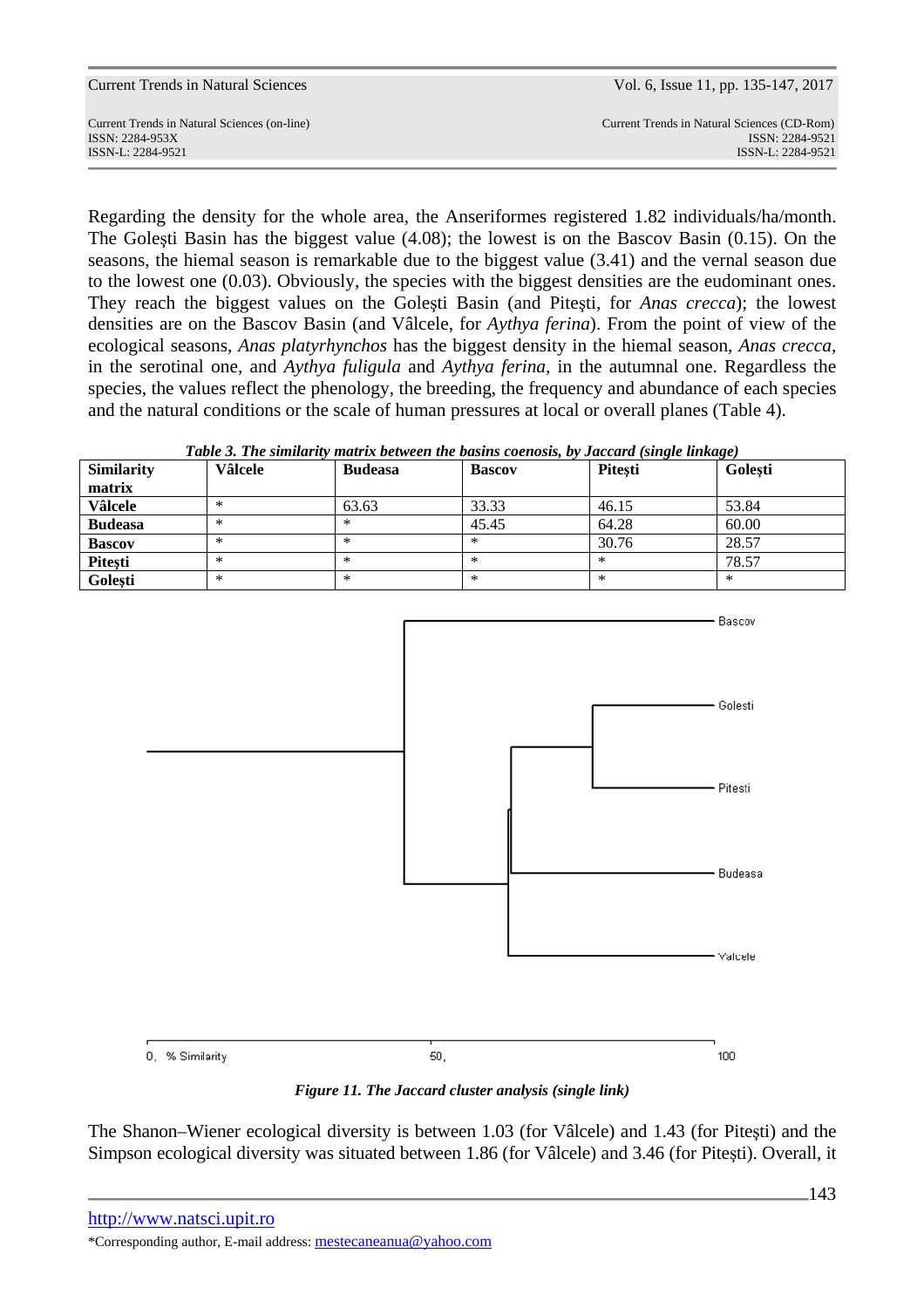ISSN-L: 2284-9521 ISSN-L: 2284-9521

Regarding the density for the whole area, the Anseriformes registered 1.82 individuals/ha/month. The Goleşti Basin has the biggest value (4.08); the lowest is on the Bascov Basin (0.15). On the seasons, the hiemal season is remarkable due to the biggest value (3.41) and the vernal season due to the lowest one (0.03). Obviously, the species with the biggest densities are the eudominant ones. They reach the biggest values on the Goleşti Basin (and Piteşti, for *Anas crecca*); the lowest densities are on the Bascov Basin (and Vâlcele, for *Aythya ferina*). From the point of view of the ecological seasons, *Anas platyrhynchos* has the biggest density in the hiemal season, *Anas crecca*, in the serotinal one, and *Aythya fuligula* and *Aythya ferina*, in the autumnal one. Regardless the species, the values reflect the phenology, the breeding, the frequency and abundance of each species and the natural conditions or the scale of human pressures at local or overall planes (Table 4).

|  | Table 3. The similarity matrix between the basins coenosis, by Jaccard (single linkage) |  |  |  |  |  |
|--|-----------------------------------------------------------------------------------------|--|--|--|--|--|
|  |                                                                                         |  |  |  |  |  |

| <b>Similarity</b> | <b>Vâlcele</b> | <b>Budeasa</b> | <b>Bascov</b> | <b>Pitesti</b> | Golesti |
|-------------------|----------------|----------------|---------------|----------------|---------|
| matrix            |                |                |               |                |         |
| <b>Vâlcele</b>    | ∗              | 63.63          | 33.33         | 46.15          | 53.84   |
| <b>Budeasa</b>    | ∗              | $\ast$         | 45.45         | 64.28          | 60.00   |
| <b>Bascov</b>     | ∗              | ∗              | ∗             | 30.76          | 28.57   |
| Pitești           | ∗              | ∗              | ∗             |                | 78.57   |
| Golești           | ∗              | $\ast$         | ∗             | ∗              | ∗       |



*Figure 11. The Jaccard cluster analysis (single link)* 

The Shanon–Wiener ecological diversity is between 1.03 (for Vâlcele) and 1.43 (for Piteşti) and the Simpson ecological diversity was situated between 1.86 (for Vâlcele) and 3.46 (for Piteşti). Overall, it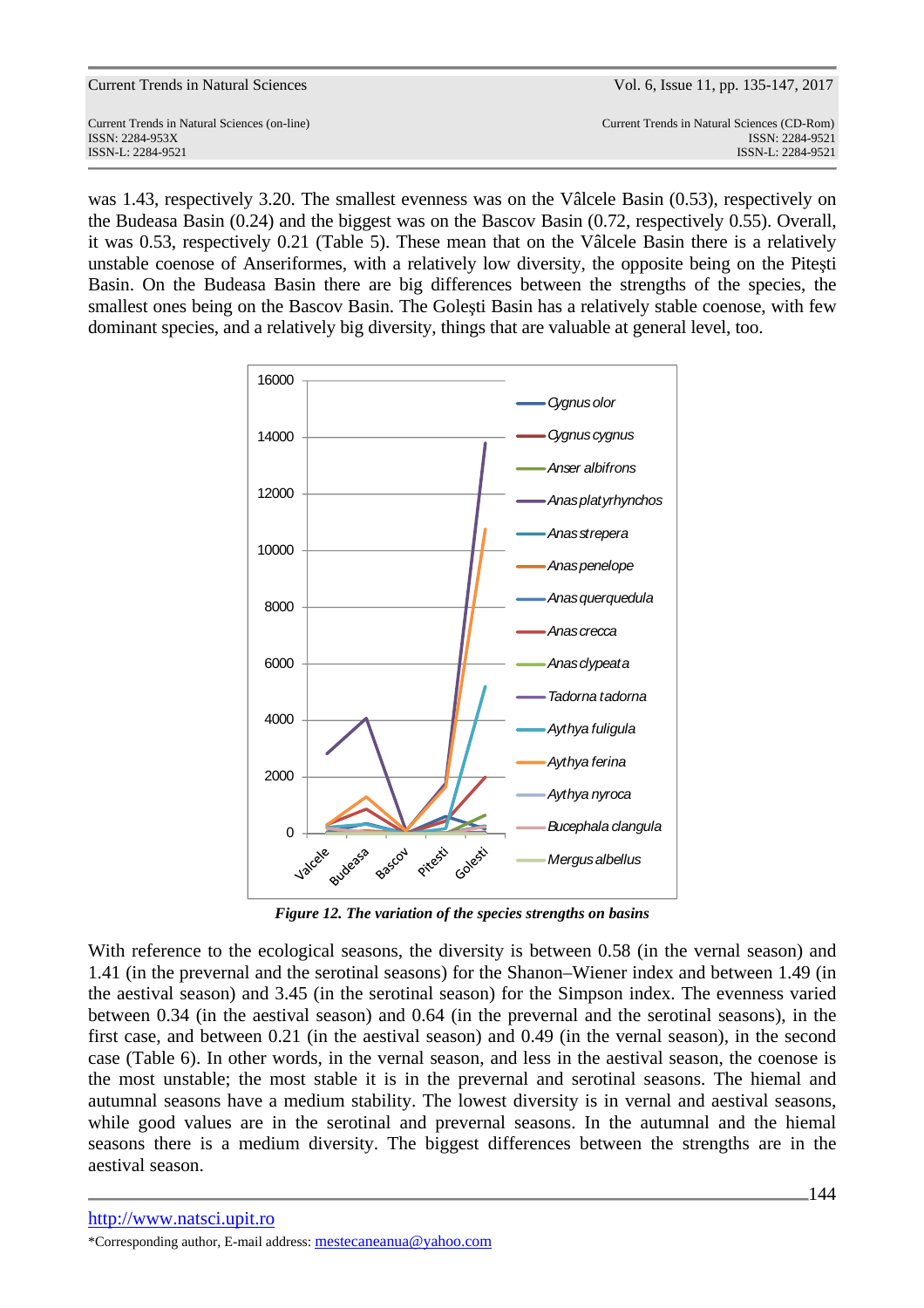| <b>Current Trends in Natural Sciences</b> |  |  |  |
|-------------------------------------------|--|--|--|
|-------------------------------------------|--|--|--|

Current Trends in Natural Sciences (on-line) Current Trends in Natural Sciences (CD-Rom) ISSN: 2284-953XISSN: 2284-9521 ISSN-L: 2284-9521 ISSN-L: 2284-9521

was 1.43, respectively 3.20. The smallest evenness was on the Vâlcele Basin (0.53), respectively on the Budeasa Basin (0.24) and the biggest was on the Bascov Basin (0.72, respectively 0.55). Overall, it was 0.53, respectively 0.21 (Table 5). These mean that on the Vâlcele Basin there is a relatively unstable coenose of Anseriformes, with a relatively low diversity, the opposite being on the Piteşti Basin. On the Budeasa Basin there are big differences between the strengths of the species, the smallest ones being on the Bascov Basin. The Goleşti Basin has a relatively stable coenose, with few dominant species, and a relatively big diversity, things that are valuable at general level, too.



*Figure 12. The variation of the species strengths on basins* 

With reference to the ecological seasons, the diversity is between 0.58 (in the vernal season) and 1.41 (in the prevernal and the serotinal seasons) for the Shanon–Wiener index and between 1.49 (in the aestival season) and 3.45 (in the serotinal season) for the Simpson index. The evenness varied between 0.34 (in the aestival season) and 0.64 (in the prevernal and the serotinal seasons), in the first case, and between 0.21 (in the aestival season) and 0.49 (in the vernal season), in the second case (Table 6). In other words, in the vernal season, and less in the aestival season, the coenose is the most unstable; the most stable it is in the prevernal and serotinal seasons. The hiemal and autumnal seasons have a medium stability. The lowest diversity is in vernal and aestival seasons, while good values are in the serotinal and prevernal seasons. In the autumnal and the hiemal seasons there is a medium diversity. The biggest differences between the strengths are in the aestival season.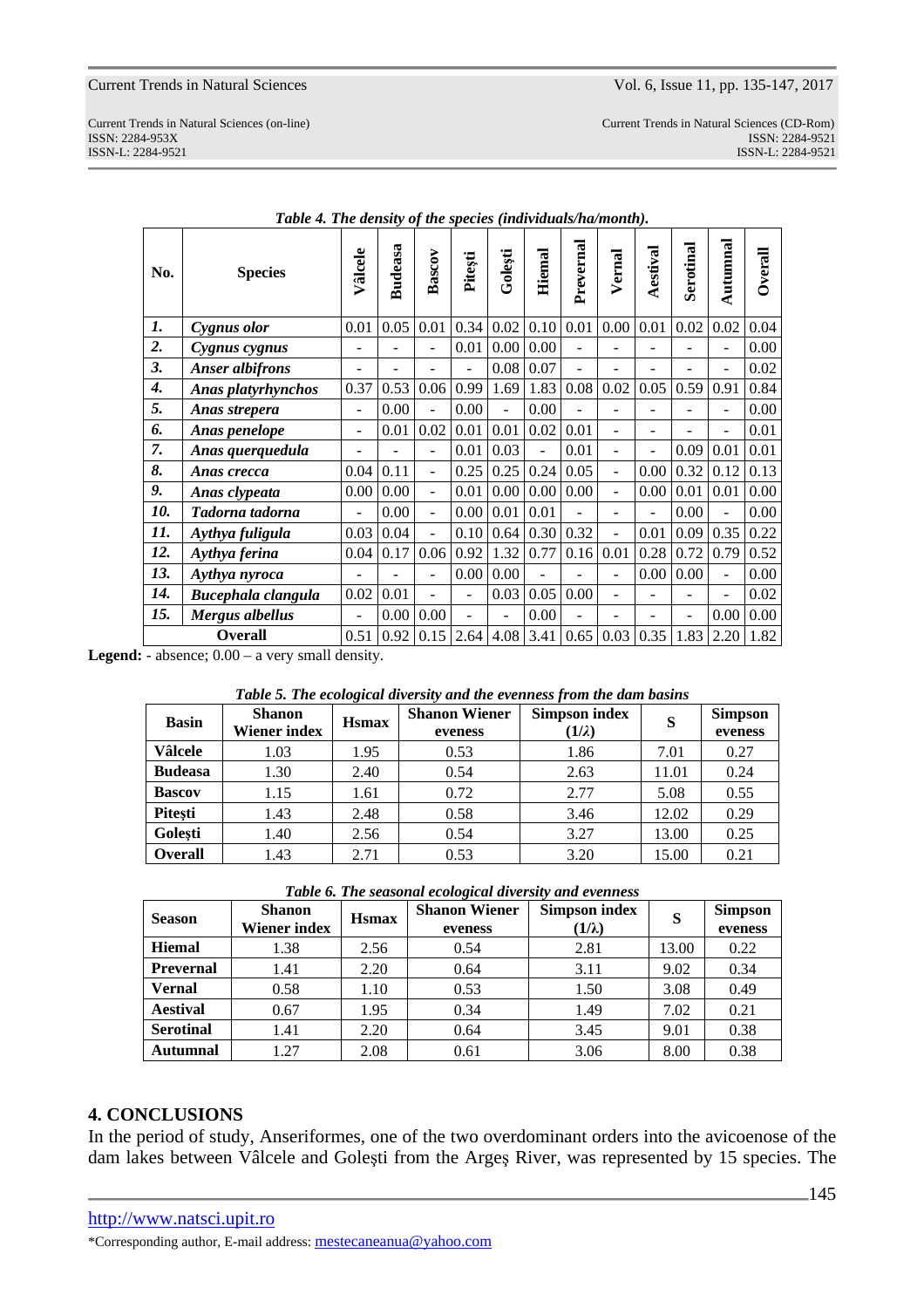Current Trends in Natural Sciences (on-line) Current Trends in Natural Sciences (CD-Rom) ISSN: 2284-953XISSN: 2284-9521 ISSN-L: 2284-9521 ISSN-L: 2284-9521

| No.                | <b>Species</b>            | Vâlcele        | <b>Budeasa</b> | Bascov         | Pitești | Golești        | <b>Hiemal</b> | Prevernal | Vernal                   | Aestival | Serotinal                | Autumnal                 | <b>Overall</b> |
|--------------------|---------------------------|----------------|----------------|----------------|---------|----------------|---------------|-----------|--------------------------|----------|--------------------------|--------------------------|----------------|
| 1.                 | Cygnus olor               | 0.01           | 0.05           | 0.01           | 0.34    | 0.02           | 0.10          | 0.01      | 0.00                     | 0.01     | 0.02                     | 0.02                     | 0.04           |
| $\overline{2}$ .   | Cygnus cygnus             |                |                |                | 0.01    | 0.00           | 0.00          |           |                          |          |                          |                          | 0.00           |
| 3.                 | <b>Anser albifrons</b>    |                |                |                |         | 0.08           | 0.07          |           |                          |          |                          | $\overline{\phantom{0}}$ | 0.02           |
| $\boldsymbol{4}$ . | <b>Anas platyrhynchos</b> | 0.37           | 0.53           | 0.06           | 0.99    | 1.69           | 1.83          | 0.08      | 0.02                     | 0.05     | 0.59                     | 0.91                     | 0.84           |
| 5.                 | Anas strepera             | $\overline{a}$ | 0.00           | ÷,             | 0.00    | $\overline{a}$ | 0.00          |           | L.                       |          |                          | ÷.                       | 0.00           |
| 6.                 | Anas penelope             | ۰              | 0.01           | 0.02           | 0.01    | 0.01           | 0.02          | 0.01      | L,                       |          | $\overline{\phantom{0}}$ | $\overline{\phantom{a}}$ | 0.01           |
| 7.                 | Anas querquedula          | ۰              |                | ÷              | 0.01    | 0.03           | ۰             | 0.01      |                          | Ξ.       | 0.09                     | 0.01                     | 0.01           |
| 8.                 | Anas crecca               | 0.04           | 0.11           | ÷,             | 0.25    | 0.25           | 0.24          | 0.05      | ÷,                       | 0.00     | 0.32                     | 0.12                     | 0.13           |
| 9.                 | Anas clypeata             | 0.00           | 0.00           | ÷,             | 0.01    | 0.00           | 0.00          | 0.00      | $\overline{\phantom{a}}$ | 0.00     | 0.01                     | 0.01                     | 0.00           |
| 10.                | Tadorna tadorna           | ۰              | 0.00           | $\blacksquare$ | 0.00    | 0.01           | 0.01          |           | L.                       |          | 0.00                     | ÷,                       | 0.00           |
| 11.                | Aythya fuligula           | 0.03           | 0.04           | ÷,             | 0.10    | 0.64           | 0.30          | 0.32      | $\overline{a}$           | 0.01     | 0.09                     | 0.35                     | 0.22           |
| 12.                | Aythya ferina             | 0.04           | 0.17           | 0.06           | 0.92    | 1.32           | 0.77          | 0.16      | 0.01                     | 0.28     | 0.72                     | 0.79                     | 0.52           |
| 13.                | Aythya nyroca             |                |                |                | 0.00    | 0.00           |               |           | -                        | 0.00     | 0.00                     | $\overline{a}$           | 0.00           |
| 14.                | Bucephala clangula        | 0.02           | 0.01           |                | ÷,      | 0.03           | 0.05          | 0.00      | L.                       |          | $\blacksquare$           | ÷.                       | 0.02           |
| 15.                | <b>Mergus albellus</b>    | ÷,             | 0.00           | 0.00           | ÷       |                | 0.00          |           |                          |          | $\overline{a}$           | 0.00                     | 0.00           |
|                    | <b>Overall</b>            | 0.51           | 0.92           | 0.15           | 2.64    | 4.08           | 3.41          | 0.65      | 0.03                     | 0.35     | 1.83                     | 2.20                     | 1.82           |

*Table 4. The density of the species (individuals/ha/month).* 

Legend: - absence;  $0.00 - a$  very small density.

| <b>Basin</b>   | <b>Shanon</b><br>Wiener index | <b>H</b> smax | <b>Shanon Wiener</b><br>eveness | <b>Simpson index</b><br>$(1/\lambda)$ | S     | <b>Simpson</b><br>eveness |
|----------------|-------------------------------|---------------|---------------------------------|---------------------------------------|-------|---------------------------|
| Vâlcele        | 1.03                          | 1.95          | 0.53                            | 1.86                                  | 7.01  | 0.27                      |
| <b>Budeasa</b> | 1.30                          | 2.40          | 0.54                            | 2.63                                  | 11.01 | 0.24                      |
| <b>Bascov</b>  | 1.15                          | 1.61          | 0.72                            | 2.77                                  | 5.08  | 0.55                      |
| Pitești        | 1.43                          | 2.48          | 0.58                            | 3.46                                  | 12.02 | 0.29                      |
| Golesti        | 1.40                          | 2.56          | 0.54                            | 3.27                                  | 13.00 | 0.25                      |
| <b>Overall</b> | 1.43                          | 2.71          | 0.53                            | 3.20                                  | 15.00 | 0.21                      |

*Table 6. The seasonal ecological diversity and evenness* 

| <b>Season</b>    | <b>Shanon</b><br>Wiener index | <b>H</b> smax | <b>Shanon Wiener</b><br>eveness | <b>Simpson index</b><br>$(1/\lambda)$ | S     | <b>Simpson</b><br>eveness |
|------------------|-------------------------------|---------------|---------------------------------|---------------------------------------|-------|---------------------------|
| <b>Hiemal</b>    | 1.38                          | 2.56          | 0.54                            | 2.81                                  | 13.00 | 0.22                      |
| Prevernal        | 1.41                          | 2.20          | 0.64                            | 3.11                                  | 9.02  | 0.34                      |
| <b>Vernal</b>    | 0.58                          | 1.10          | 0.53                            | 1.50                                  | 3.08  | 0.49                      |
| <b>Aestival</b>  | 0.67                          | 1.95          | 0.34                            | 1.49                                  | 7.02  | 0.21                      |
| <b>Serotinal</b> | 1.41                          | 2.20          | 0.64                            | 3.45                                  | 9.01  | 0.38                      |
| Autumnal         | 1.27                          | 2.08          | 0.61                            | 3.06                                  | 8.00  | 0.38                      |

## **4. CONCLUSIONS**

In the period of study, Anseriformes, one of the two overdominant orders into the avicoenose of the dam lakes between Vâlcele and Goleşti from the Argeş River, was represented by 15 species. The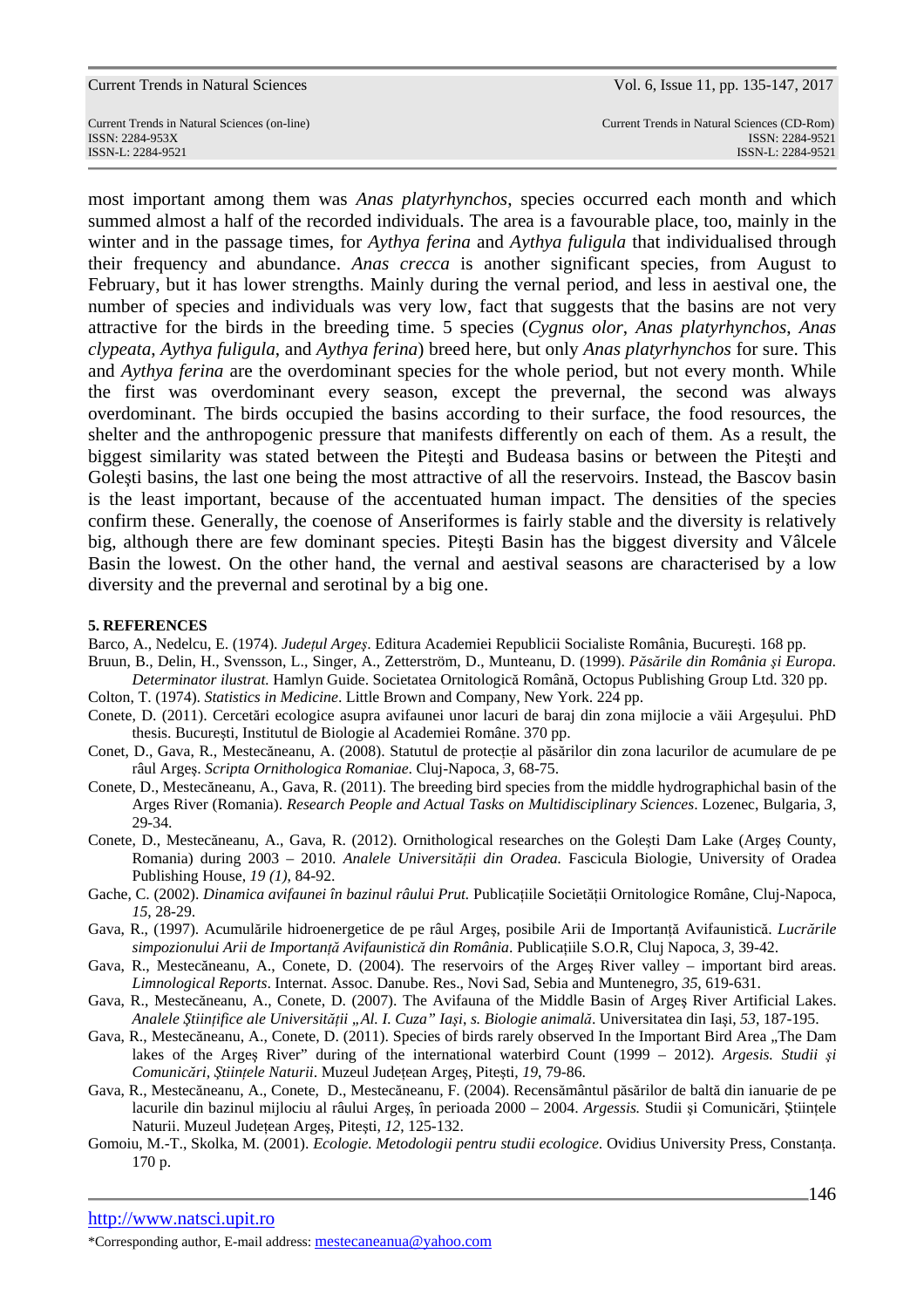ISSN-L: 2284-9521 ISSN-L: 2284-9521

Current Trends in Natural Sciences (on-line) Current Trends in Natural Sciences (CD-Rom) ISSN: 2284-953XISSN: 2284-9521

most important among them was *Anas platyrhynchos*, species occurred each month and which summed almost a half of the recorded individuals. The area is a favourable place, too, mainly in the winter and in the passage times, for *Aythya ferina* and *Aythya fuligula* that individualised through their frequency and abundance. *Anas crecca* is another significant species, from August to February, but it has lower strengths. Mainly during the vernal period, and less in aestival one, the number of species and individuals was very low, fact that suggests that the basins are not very attractive for the birds in the breeding time. 5 species (*Cygnus olor*, *Anas platyrhynchos*, *Anas clypeata*, *Aythya fuligula*, and *Aythya ferina*) breed here, but only *Anas platyrhynchos* for sure. This and *Aythya ferina* are the overdominant species for the whole period, but not every month. While the first was overdominant every season, except the prevernal, the second was always overdominant. The birds occupied the basins according to their surface, the food resources, the shelter and the anthropogenic pressure that manifests differently on each of them. As a result, the biggest similarity was stated between the Piteşti and Budeasa basins or between the Piteşti and Goleşti basins, the last one being the most attractive of all the reservoirs. Instead, the Bascov basin is the least important, because of the accentuated human impact. The densities of the species confirm these. Generally, the coenose of Anseriformes is fairly stable and the diversity is relatively big, although there are few dominant species. Piteşti Basin has the biggest diversity and Vâlcele Basin the lowest. On the other hand, the vernal and aestival seasons are characterised by a low diversity and the prevernal and serotinal by a big one.

### **5. REFERENCES**

Barco, A., Nedelcu, E. (1974). *Judeţul Argeş*. Editura Academiei Republicii Socialiste România, Bucureşti. 168 pp.

- Bruun, B., Delin, H., Svensson, L., Singer, A., Zetterström, D., Munteanu, D. (1999). *Păsările din România şi Europa. Determinator ilustrat.* Hamlyn Guide. Societatea Ornitologică Română, Octopus Publishing Group Ltd. 320 pp.
- Colton, T. (1974). *Statistics in Medicine*. Little Brown and Company, New York. 224 pp.
- Conete, D. (2011). Cercetări ecologice asupra avifaunei unor lacuri de baraj din zona mijlocie a văii Argeşului. PhD thesis. Bucureşti, Institutul de Biologie al Academiei Române. 370 pp.
- Conet, D., Gava, R., Mestecăneanu, A. (2008). Statutul de protecţie al păsărilor din zona lacurilor de acumulare de pe râul Argeş. *Scripta Ornithologica Romaniae*. Cluj-Napoca, *3*, 68-75.
- Conete, D., Mestecăneanu, A., Gava, R. (2011). The breeding bird species from the middle hydrographichal basin of the Arges River (Romania). *Research People and Actual Tasks on Multidisciplinary Sciences*. Lozenec, Bulgaria, *3*, 29-34.
- Conete, D., Mestecăneanu, A., Gava, R. (2012). Ornithological researches on the Goleşti Dam Lake (Argeş County, Romania) during 2003 – 2010. *Analele Universităţii din Oradea.* Fascicula Biologie, University of Oradea Publishing House, *19 (1)*, 84-92.
- Gache, C. (2002). *Dinamica avifaunei în bazinul râului Prut.* Publicațiile Societății Ornitologice Române, Cluj-Napoca, *15*, 28-29.
- Gava, R., (1997). Acumulările hidroenergetice de pe râul Argeş, posibile Arii de Importanţă Avifaunistică. *Lucrările simpozionului Arii de Importanţă Avifaunistică din România*. Publicaţiile S.O.R, Cluj Napoca, *3*, 39-42.
- Gava, R., Mestecăneanu, A., Conete, D. (2004). The reservoirs of the Argeş River valley important bird areas. *Limnological Reports*. Internat. Assoc. Danube. Res., Novi Sad, Sebia and Muntenegro, *35*, 619-631.
- Gava, R., Mestecăneanu, A., Conete, D. (2007). The Avifauna of the Middle Basin of Argeş River Artificial Lakes. *Analele Ştiinţifice ale Universităţii "Al. I. Cuza" Iaşi*, *s. Biologie animală*. Universitatea din Iaşi, *53*, 187-195.
- Gava, R., Mestecăneanu, A., Conete, D. (2011). Species of birds rarely observed In the Important Bird Area "The Dam lakes of the Arges River" during of the international waterbird Count (1999 – 2012). *Argesis. Studii și Comunicări, Ştiinţele Naturii*. Muzeul Judeţean Argeş, Piteşti, *19*, 79-86.
- Gava, R., Mestecăneanu, A., Conete, D., Mestecăneanu, F. (2004). Recensământul păsărilor de baltă din ianuarie de pe lacurile din bazinul mijlociu al râului Argeş, în perioada 2000 – 2004. *Argessis.* Studii şi Comunicări, Ştiinţele Naturii. Muzeul Judeţean Argeş, Piteşti, *12*, 125-132.
- Gomoiu, M.-T., Skolka, M. (2001). *Ecologie. Metodologii pentru studii ecologice*. Ovidius University Press, Constanţa. 170 p.

http://www.natsci.upit.ro

\*Corresponding author, E-mail address: mestecaneanua@yahoo.com